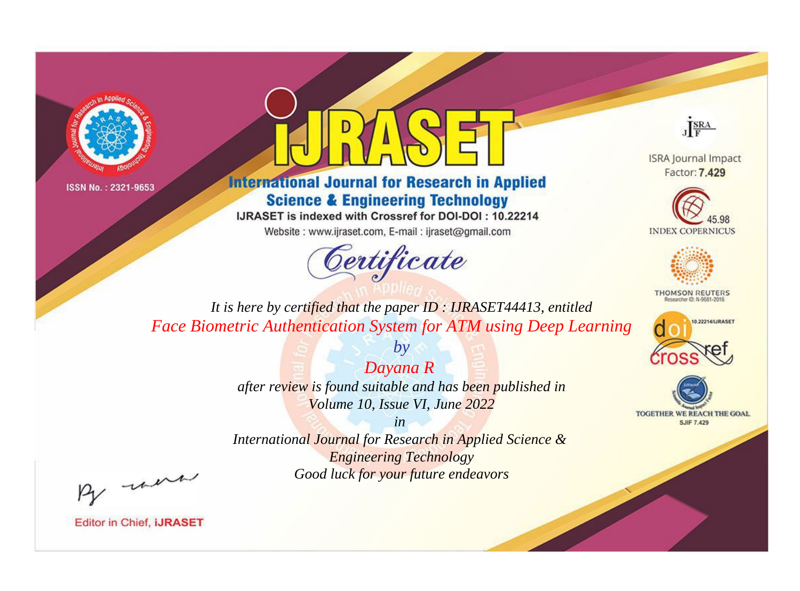



**International Journal for Research in Applied Science & Engineering Technology** 

IJRASET is indexed with Crossref for DOI-DOI: 10.22214

Website: www.ijraset.com, E-mail: ijraset@gmail.com



JERA

**ISRA Journal Impact** Factor: 7.429





**THOMSON REUTERS** 



TOGETHER WE REACH THE GOAL **SJIF 7.429** 

*It is here by certified that the paper ID : IJRASET44413, entitled Face Biometric Authentication System for ATM using Deep Learning*

> *Dayana R after review is found suitable and has been published in Volume 10, Issue VI, June 2022*

*by*

*in* 

*International Journal for Research in Applied Science & Engineering Technology Good luck for your future endeavors*

By morn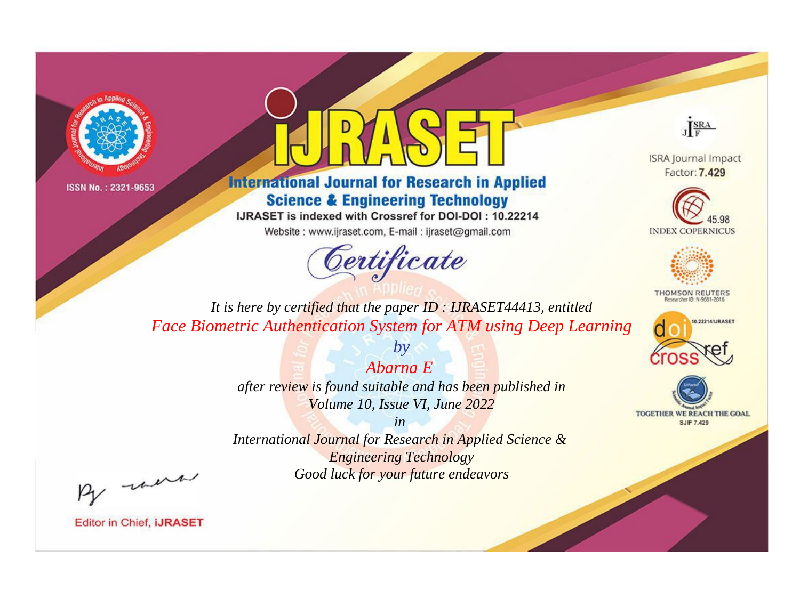



**International Journal for Research in Applied Science & Engineering Technology** 

IJRASET is indexed with Crossref for DOI-DOI: 10.22214

Website: www.ijraset.com, E-mail: ijraset@gmail.com





**ISRA Journal Impact** Factor: 7.429





**THOMSON REUTERS** 



TOGETHER WE REACH THE GOAL **SJIF 7.429** 

*It is here by certified that the paper ID : IJRASET44413, entitled Face Biometric Authentication System for ATM using Deep Learning*

*Abarna E* 

*by*

*after review is found suitable and has been published in Volume 10, Issue VI, June 2022*

*in* 

*International Journal for Research in Applied Science & Engineering Technology Good luck for your future endeavors*

By morn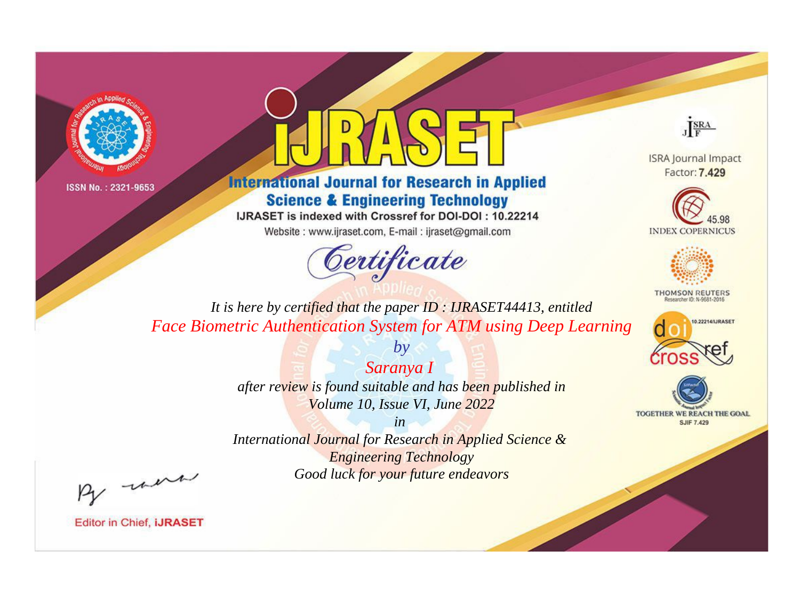



**International Journal for Research in Applied Science & Engineering Technology** 

IJRASET is indexed with Crossref for DOI-DOI: 10.22214

Website: www.ijraset.com, E-mail: ijraset@gmail.com



JERA

**ISRA Journal Impact** Factor: 7.429





**THOMSON REUTERS** 



TOGETHER WE REACH THE GOAL **SJIF 7.429** 

*It is here by certified that the paper ID : IJRASET44413, entitled Face Biometric Authentication System for ATM using Deep Learning*

*Saranya I* 

*by*

*after review is found suitable and has been published in Volume 10, Issue VI, June 2022*

*in* 

*International Journal for Research in Applied Science & Engineering Technology Good luck for your future endeavors*

By morn